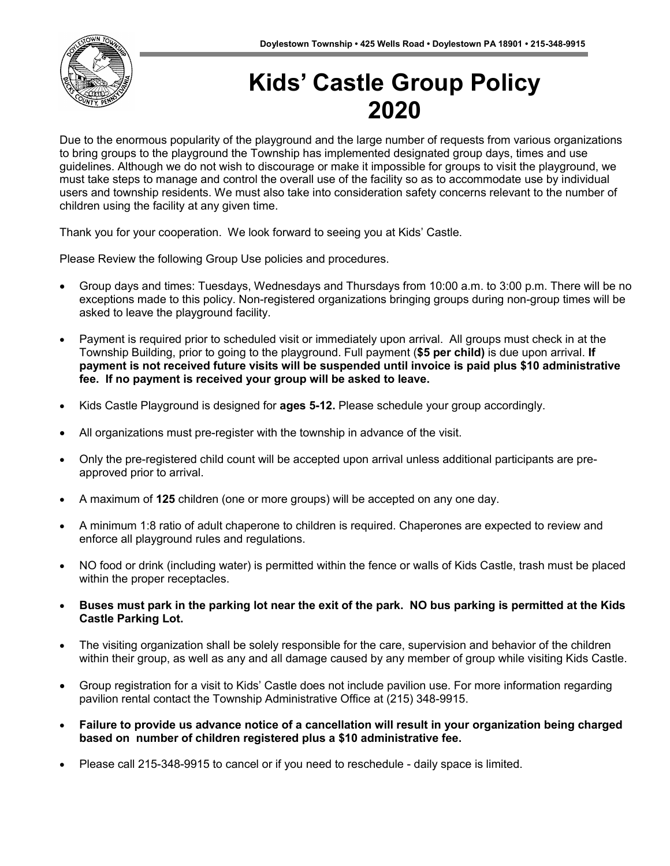

# **Kids' Castle Group Policy 2022**

Due to the enormous popularity of the playground and the large number of requests from various organizations to bring groups to the playground the Township has implemented designated group days, times and use guidelines. Although we do not wish to discourage or make it impossible for groups to visit the playground, we must take steps to manage and control the overall use of the facility so as to accommodate use by individual users and township residents. We must also take into consideration safety concerns relevant to the number of children using the facility at any given time.

Thank you for your cooperation. We look forward to seeing you at Kids' Castle.

Please Review the following Group Use policies and procedures.

- Group days and times: Tuesdays, Wednesdays and Thursdays from 10:00 a.m. to 3:00 p.m. There will be no exceptions made to this policy. Non-registered organizations bringing groups during non-group times will be asked to leave the playground facility.
- Payment is required prior to scheduled visit or immediately upon arrival. All groups must check in at the Township Building, prior to going to the playground. Full payment (**\$5 per child)** is due upon arrival. **If payment is not received future visits will be suspended until invoice is paid plus \$10 administrative fee. If no payment is received your group will be asked to leave.**
- Kids Castle Playground is designed for **ages 5-12.** Please schedule your group accordingly.
- All organizations must pre-register with the township in advance of the visit.
- Only the pre-registered child count will be accepted upon arrival unless additional participants are preapproved prior to arrival.
- A maximum of **125** children (one or more groups) will be accepted on any one day.
- A minimum 1:8 ratio of adult chaperone to children is required. Chaperones are expected to review and enforce all playground rules and regulations.
- NO food or drink (including water) is permitted within the fence or walls of Kids Castle, trash must be placed within the proper receptacles.
- **Buses must park in the parking lot near the exit of the park. NO bus parking is permitted at the Kids Castle Parking Lot.**
- The visiting organization shall be solely responsible for the care, supervision and behavior of the children within their group, as well as any and all damage caused by any member of group while visiting Kids Castle.
- Group registration for a visit to Kids' Castle does not include pavilion use. For more information regarding pavilion rental contact the Township Administrative Office at (215) 348-9915.
- **Failure to provide us advance notice of a cancellation will result in your organization being charged based on number of children registered plus a \$10 administrative fee.**
- Please call 215-348-9915 to cancel or if you need to reschedule daily space is limited.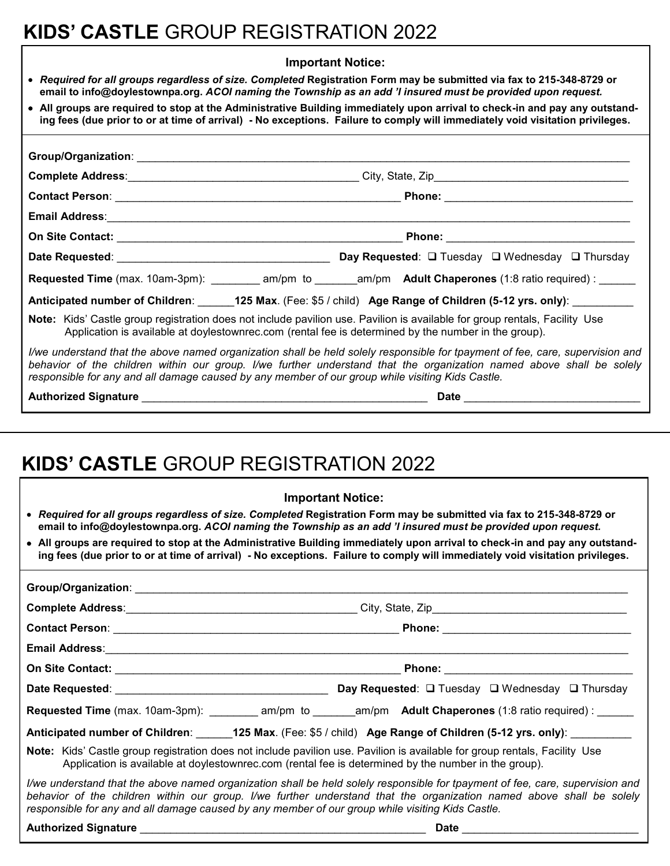# **KIDS' CASTLE** GROUP REGISTRATION 2022

#### **Important Notice:**

- *Required for all groups regardless of size. Completed* **Registration Form may be submitted via fax to 215-348-8729 or email to info@doylestownpa.org.** *ACOI naming the Township as an add 'l insured must be provided upon request.*
- **All groups are required to stop at the Administrative Building immediately upon arrival to check-in and pay any outstanding fees (due prior to or at time of arrival) - No exceptions. Failure to comply will immediately void visitation privileges.**

| Requested Time (max. 10am-3pm): __________ am/pm to _______am/pm Adult Chaperones (1:8 ratio required) : _____                                                                                                                                                                                                                                            |  |  |  |  |  |  |  |
|-----------------------------------------------------------------------------------------------------------------------------------------------------------------------------------------------------------------------------------------------------------------------------------------------------------------------------------------------------------|--|--|--|--|--|--|--|
| Anticipated number of Children: 125 Max. (Fee: \$5 / child) Age Range of Children (5-12 yrs. only):                                                                                                                                                                                                                                                       |  |  |  |  |  |  |  |
| Note: Kids' Castle group registration does not include pavilion use. Pavilion is available for group rentals, Facility Use<br>Application is available at doylestownrec.com (rental fee is determined by the number in the group).                                                                                                                        |  |  |  |  |  |  |  |
| I/we understand that the above named organization shall be held solely responsible for tpayment of fee, care, supervision and<br>behavior of the children within our group. I/we further understand that the organization named above shall be solely<br>responsible for any and all damage caused by any member of our group while visiting Kids Castle. |  |  |  |  |  |  |  |
|                                                                                                                                                                                                                                                                                                                                                           |  |  |  |  |  |  |  |

**Authorized Signature** \_\_\_\_\_\_\_\_\_\_\_\_\_\_\_\_\_\_\_\_\_\_\_\_\_\_\_\_\_\_\_\_\_\_\_\_\_\_\_\_\_\_\_\_\_\_\_ **Date** \_\_\_\_\_\_\_\_\_\_\_\_\_\_\_\_\_\_\_\_\_\_\_\_\_\_\_\_\_

## **KIDS' CASTLE** GROUP REGISTRATION 2022

| <b>Important Notice:</b>                                                                                                                                                                                                                                                                                                                                  |  |  |  |  |  |  |  |
|-----------------------------------------------------------------------------------------------------------------------------------------------------------------------------------------------------------------------------------------------------------------------------------------------------------------------------------------------------------|--|--|--|--|--|--|--|
| • Required for all groups regardless of size. Completed Registration Form may be submitted via fax to 215-348-8729 or<br>email to info@doylestownpa.org. ACOI naming the Township as an add 'I insured must be provided upon request.                                                                                                                     |  |  |  |  |  |  |  |
| • All groups are required to stop at the Administrative Building immediately upon arrival to check-in and pay any outstand-<br>ing fees (due prior to or at time of arrival) - No exceptions. Failure to comply will immediately void visitation privileges.                                                                                              |  |  |  |  |  |  |  |
|                                                                                                                                                                                                                                                                                                                                                           |  |  |  |  |  |  |  |
|                                                                                                                                                                                                                                                                                                                                                           |  |  |  |  |  |  |  |
|                                                                                                                                                                                                                                                                                                                                                           |  |  |  |  |  |  |  |
|                                                                                                                                                                                                                                                                                                                                                           |  |  |  |  |  |  |  |
|                                                                                                                                                                                                                                                                                                                                                           |  |  |  |  |  |  |  |
|                                                                                                                                                                                                                                                                                                                                                           |  |  |  |  |  |  |  |
| Requested Time (max. 10am-3pm): __________ am/pm to _______am/pm Adult Chaperones (1:8 ratio required) : _____                                                                                                                                                                                                                                            |  |  |  |  |  |  |  |
| Anticipated number of Children: ______125 Max. (Fee: \$5 / child) Age Range of Children (5-12 yrs. only): ________                                                                                                                                                                                                                                        |  |  |  |  |  |  |  |
| Note: Kids' Castle group registration does not include pavilion use. Pavilion is available for group rentals, Facility Use<br>Application is available at doylestownrec.com (rental fee is determined by the number in the group).                                                                                                                        |  |  |  |  |  |  |  |
| I/we understand that the above named organization shall be held solely responsible for tpayment of fee, care, supervision and<br>behavior of the children within our group. I/we further understand that the organization named above shall be solely<br>responsible for any and all damage caused by any member of our group while visiting Kids Castle. |  |  |  |  |  |  |  |
|                                                                                                                                                                                                                                                                                                                                                           |  |  |  |  |  |  |  |